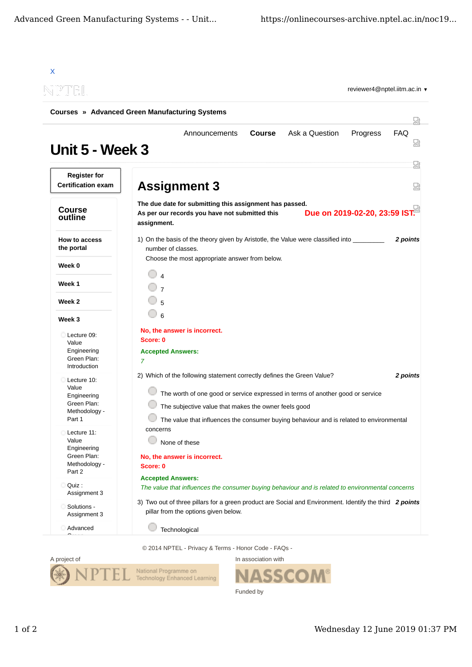| NPTEL                                                 | <b>Courses » Advanced Green Manufacturing Systems</b>                                                                                                     |            |
|-------------------------------------------------------|-----------------------------------------------------------------------------------------------------------------------------------------------------------|------------|
|                                                       |                                                                                                                                                           | 닜          |
| Unit 5 - Week 3                                       | <b>Course</b><br>Ask a Question<br>Announcements<br>Progress                                                                                              | <b>FAQ</b> |
| <b>Register for</b><br><b>Certification exam</b>      | <b>Assignment 3</b>                                                                                                                                       | 疏<br>덣     |
| <b>Course</b><br>outline                              | The due date for submitting this assignment has passed.<br>Due on 2019-02-20, 23:59 IST.<br>As per our records you have not submitted this<br>assignment. |            |
| How to access<br>the portal                           | 1) On the basis of the theory given by Aristotle, the Value were classified into<br>number of classes.                                                    | 2 points   |
| Week 0                                                | Choose the most appropriate answer from below.                                                                                                            |            |
| Week 1                                                | $\overline{7}$                                                                                                                                            |            |
| Week 2                                                | 5                                                                                                                                                         |            |
| Week 3                                                | 6                                                                                                                                                         |            |
| Lecture 09:<br>Value                                  | No, the answer is incorrect.<br>Score: 0                                                                                                                  |            |
| Engineering<br>Green Plan:<br>Introduction            | <b>Accepted Answers:</b><br>7                                                                                                                             |            |
| Lecture 10:                                           | 2) Which of the following statement correctly defines the Green Value?                                                                                    | 2 points   |
| Value<br>Engineering                                  | The worth of one good or service expressed in terms of another good or service                                                                            |            |
| Green Plan:<br>Methodology -                          | The subjective value that makes the owner feels good                                                                                                      |            |
| Part 1                                                | The value that influences the consumer buying behaviour and is related to environmental                                                                   |            |
| Lecture 11:<br>Value                                  | concerns<br>None of these                                                                                                                                 |            |
| Engineering<br>Green Plan:<br>Methodology -<br>Part 2 | No, the answer is incorrect.<br>Score: 0                                                                                                                  |            |
| Quiz :<br>Assignment 3                                | <b>Accepted Answers:</b><br>The value that influences the consumer buying behaviour and is related to environmental concerns                              |            |
| Solutions -<br>Assignment 3                           | 3) Two out of three pillars for a green product are Social and Environment. Identify the third 2 points<br>pillar from the options given below.           |            |
| Advanced                                              | Technological                                                                                                                                             |            |

© 2014 NPTEL - Privacy & Terms - Honor Code - FAQs -